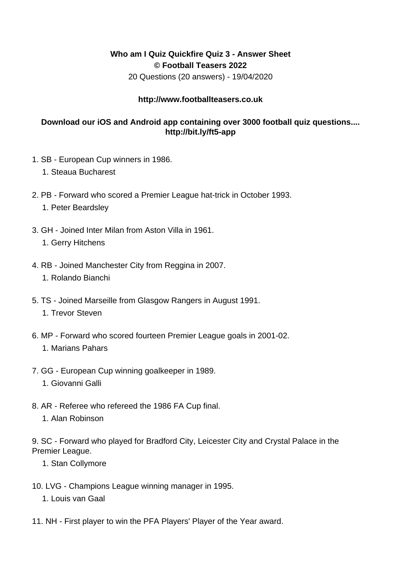## **Who am I Quiz Quickfire Quiz 3 - Answer Sheet © Football Teasers 2022**

20 Questions (20 answers) - 19/04/2020

## **http://www.footballteasers.co.uk**

## **Download our iOS and Android app containing over 3000 football quiz questions.... http://bit.ly/ft5-app**

- 1. SB European Cup winners in 1986.
	- 1. Steaua Bucharest
- 2. PB Forward who scored a Premier League hat-trick in October 1993.
	- 1. Peter Beardsley
- 3. GH Joined Inter Milan from Aston Villa in 1961.
	- 1. Gerry Hitchens
- 4. RB Joined Manchester City from Reggina in 2007.
	- 1. Rolando Bianchi
- 5. TS Joined Marseille from Glasgow Rangers in August 1991.
	- 1. Trevor Steven
- 6. MP Forward who scored fourteen Premier League goals in 2001-02.

## 1. Marians Pahars

- 7. GG European Cup winning goalkeeper in 1989.
	- 1. Giovanni Galli
- 8. AR Referee who refereed the 1986 FA Cup final.
	- 1. Alan Robinson

9. SC - Forward who played for Bradford City, Leicester City and Crystal Palace in the Premier League.

- 1. Stan Collymore
- 10. LVG Champions League winning manager in 1995.
	- 1. Louis van Gaal
- 11. NH First player to win the PFA Players' Player of the Year award.